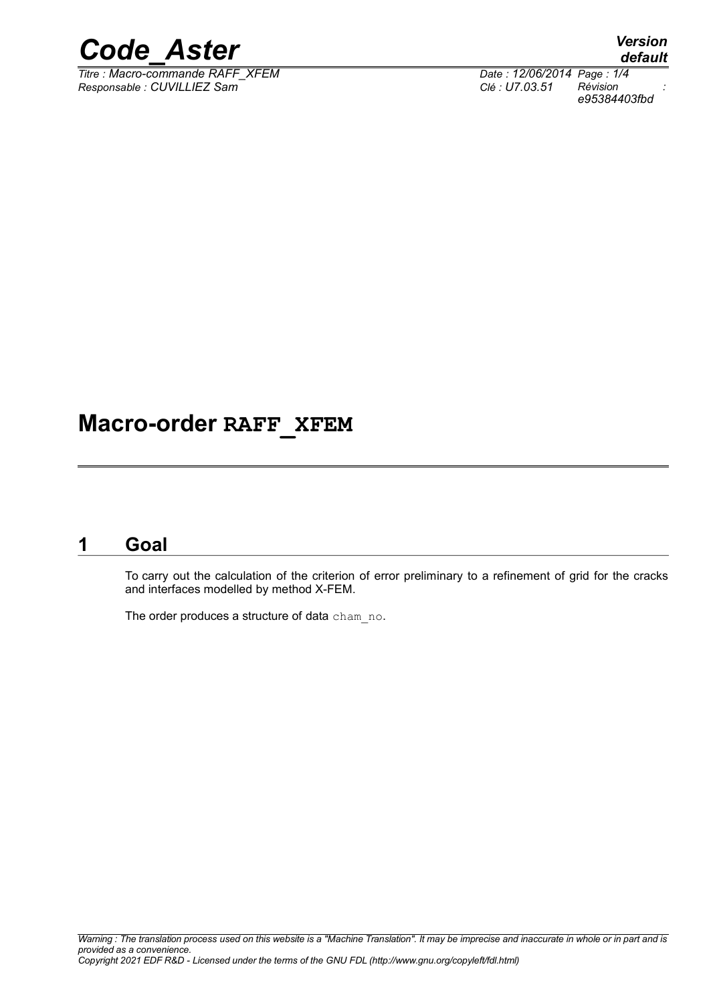

*Titre : Macro-commande RAFF\_XFEM Date : 12/06/2014 Page : 1/4 Responsable : CUVILLIEZ Sam Clé : U7.03.51 Révision :*

*default e95384403fbd*

# **Macro-order RAFF\_XFEM**

## **1 Goal**

To carry out the calculation of the criterion of error preliminary to a refinement of grid for the cracks and interfaces modelled by method X-FEM.

The order produces a structure of data cham no.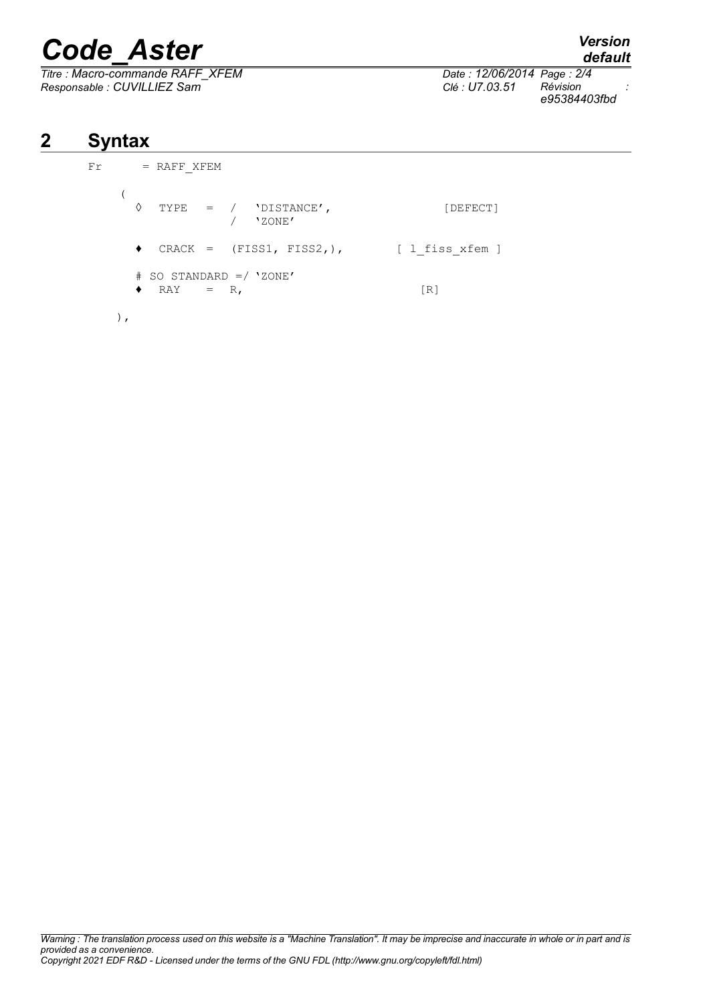# *Code\_Aster Version*

*Titre : Macro-commande RAFF\_XFEM Date : 12/06/2014 Page : 2/4 Responsable : CUVILLIEZ Sam Clé : U7.03.51 Révision :*

*default*

*e95384403fbd*

# **2 Syntax**

```
Fr = RAFF_XFEM
(
  \Diamond TYPE = / 'DISTANCE', [DEFECT]
               / 'ZONE'
  ♦ CRACK = (FISS1, FISS2,), [ l_fiss_xfem ]
  # SO STANDARD =/ 'ZONE'
  \bullet RAY = R, [R]
 ),
```
*Warning : The translation process used on this website is a "Machine Translation". It may be imprecise and inaccurate in whole or in part and is provided as a convenience. Copyright 2021 EDF R&D - Licensed under the terms of the GNU FDL (http://www.gnu.org/copyleft/fdl.html)*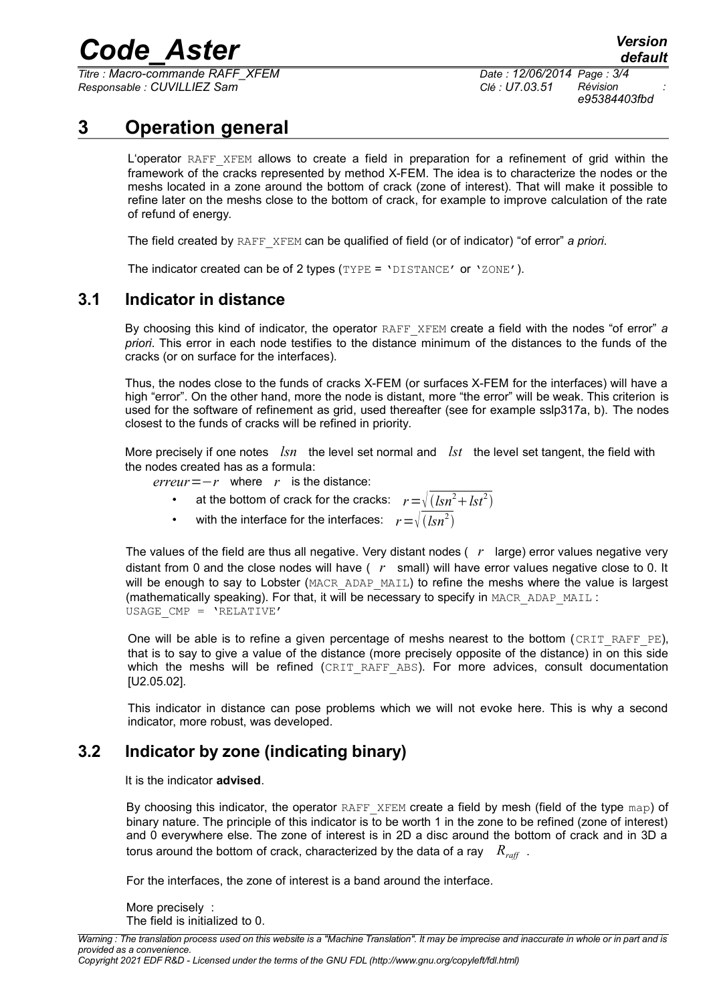# *Code\_Aster Version*

*Titre : Macro-commande RAFF\_XFEM Date : 12/06/2014 Page : 3/4 Responsable : CUVILLIEZ Sam Clé : U7.03.51 Révision :*

*e95384403fbd*

## **3 Operation general**

<span id="page-2-2"></span>L'operator RAFF XFEM allows to create a field in preparation for a refinement of grid within the framework of the cracks represented by method X-FEM. The idea is to characterize the nodes or the meshs located in a zone around the bottom of crack (zone of interest). That will make it possible to refine later on the meshs close to the bottom of crack, for example to improve calculation of the rate of refund of energy.

The field created by RAFF\_XFEM can be qualified of field (or of indicator) "of error" *a priori*.

<span id="page-2-0"></span>The indicator created can be of 2 types (TYPE = 'DISTANCE' or 'ZONE').

#### **3.1 Indicator in distance**

By choosing this kind of indicator, the operator RAFF\_XFEM create a field with the nodes "of error" *a priori*. This error in each node testifies to the distance minimum of the distances to the funds of the cracks (or on surface for the interfaces).

Thus, the nodes close to the funds of cracks X-FEM (or surfaces X-FEM for the interfaces) will have a high "error". On the other hand, more the node is distant, more "the error" will be weak. This criterion is used for the software of refinement as grid, used thereafter (see for example sslp317a, b). The nodes closest to the funds of cracks will be refined in priority.

More precisely if one notes *lsn* the level set normal and *lst* the level set tangent, the field with the nodes created has as a formula:

*erreur*=−*r* where *r* is the distance:

- at the bottom of crack for the cracks:  $r = \sqrt{(lsn^2 + lst^2)}$
- with the interface for the interfaces:  $r = \sqrt{(lsn^2)}$

The values of the field are thus all negative. Very distant nodes ( *r* large) error values negative very distant from 0 and the close nodes will have ( *r* small) will have error values negative close to 0. It will be enough to say to Lobster (MACR, ADAP, MAIL) to refine the meshs where the value is largest (mathematically speaking). For that, it will be necessary to specify in MACR\_ADAP\_MAIL : USAGE\_CMP = 'RELATIVE'

One will be able is to refine a given percentage of meshs nearest to the bottom (CRIT\_RAFF\_PE), that is to say to give a value of the distance (more precisely opposite of the distance) in on this side which the meshs will be refined (CRIT RAFF ABS). For more advices, consult documentation [U2.05.02].

This indicator in distance can pose problems which we will not evoke here. This is why a second indicator, more robust, was developed.

#### **3.2 Indicator by zone (indicating binary)**

<span id="page-2-1"></span>It is the indicator **advised**.

By choosing this indicator, the operator RAFF\_XFEM create a field by mesh (field of the type map) of binary nature. The principle of this indicator is to be worth 1 in the zone to be refined (zone of interest) and 0 everywhere else. The zone of interest is in 2D a disc around the bottom of crack and in 3D a torus around the bottom of crack, characterized by the data of a ray *Rraff* .

For the interfaces, the zone of interest is a band around the interface.

More precisely : The field is initialized to 0.